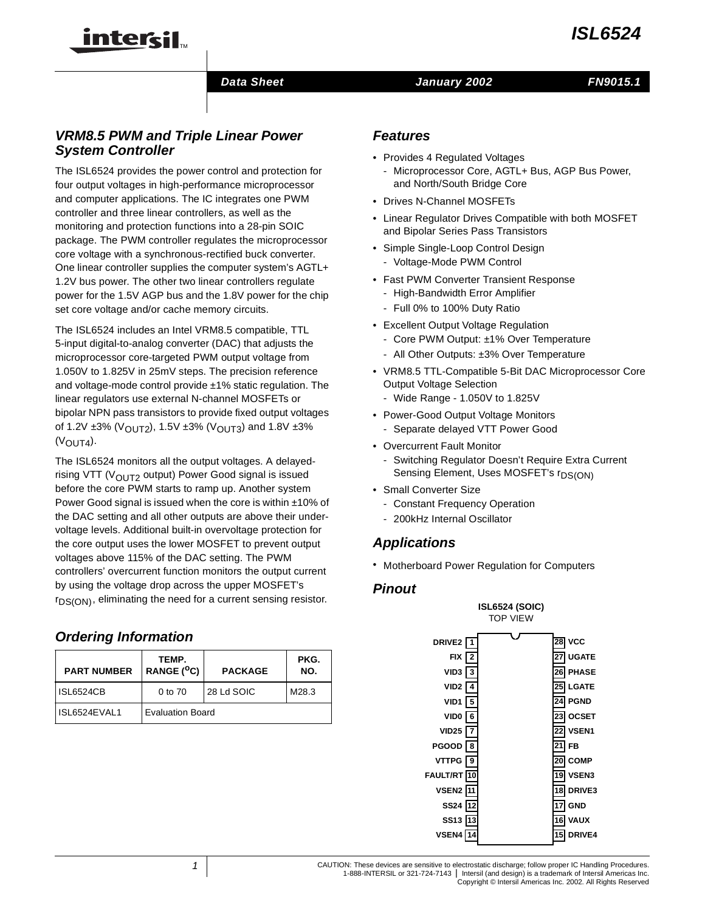

### **Data Sheet Construction Construction Data Sheet Construction Construction Construction Construction Construction**

### **VRM8.5 PWM and Triple Linear Power System Controller**

TM

The ISL6524 provides the power control and protection for four output voltages in high-performance microprocessor and computer applications. The IC integrates one PWM controller and three linear controllers, as well as the monitoring and protection functions into a 28-pin SOIC package. The PWM controller regulates the microprocessor core voltage with a synchronous-rectified buck converter. One linear controller supplies the computer system's AGTL+ 1.2V bus power. The other two linear controllers regulate power for the 1.5V AGP bus and the 1.8V power for the chip set core voltage and/or cache memory circuits.

The ISL6524 includes an Intel VRM8.5 compatible, TTL 5-input digital-to-analog converter (DAC) that adjusts the microprocessor core-targeted PWM output voltage from 1.050V to 1.825V in 25mV steps. The precision reference and voltage-mode control provide ±1% static regulation. The linear regulators use external N-channel MOSFETs or bipolar NPN pass transistors to provide fixed output voltages of 1.2V  $\pm 3\%$  (V<sub>OUT2</sub>), 1.5V  $\pm 3\%$  (V<sub>OUT3</sub>) and 1.8V  $\pm 3\%$  $(V_{\text{OUT4}})$ .

The ISL6524 monitors all the output voltages. A delayedrising VTT ( $V_{\text{OUT2}}$  output) Power Good signal is issued before the core PWM starts to ramp up. Another system Power Good signal is issued when the core is within ±10% of the DAC setting and all other outputs are above their undervoltage levels. Additional built-in overvoltage protection for the core output uses the lower MOSFET to prevent output voltages above 115% of the DAC setting. The PWM controllers' overcurrent function monitors the output current by using the voltage drop across the upper MOSFET's  $r_{DS(ON)}$ , eliminating the need for a current sensing resistor.

### **Ordering Information**

| <b>PART NUMBER</b> | TEMP.<br>RANGE (°C)     | <b>PACKAGE</b> | PKG.<br>NO. |
|--------------------|-------------------------|----------------|-------------|
| <b>ISL6524CB</b>   | 0 to 70                 | 28 Ld SOIC     |             |
| ISL6524EVAL1       | <b>Evaluation Board</b> |                |             |

### **Features**

- Provides 4 Regulated Voltages
- Microprocessor Core, AGTL+ Bus, AGP Bus Power, and North/South Bridge Core
- Drives N-Channel MOSFETs
- Linear Regulator Drives Compatible with both MOSFET and Bipolar Series Pass Transistors
- Simple Single-Loop Control Design - Voltage-Mode PWM Control
- Fast PWM Converter Transient Response
	- High-Bandwidth Error Amplifier
	- Full 0% to 100% Duty Ratio
- Excellent Output Voltage Regulation
	- Core PWM Output: ±1% Over Temperature
	- All Other Outputs: ±3% Over Temperature
- VRM8.5 TTL-Compatible 5-Bit DAC Microprocessor Core Output Voltage Selection
	- Wide Range 1.050V to 1.825V
- Power-Good Output Voltage Monitors
	- Separate delayed VTT Power Good
- Overcurrent Fault Monitor
	- Switching Regulator Doesn't Require Extra Current Sensing Element, Uses MOSFET's r<sub>DS(ON)</sub>
- Small Converter Size
	- Constant Frequency Operation
	- 200kHz Internal Oscillator

### **Applications**

• Motherboard Power Regulation for Computers

### **Pinout**

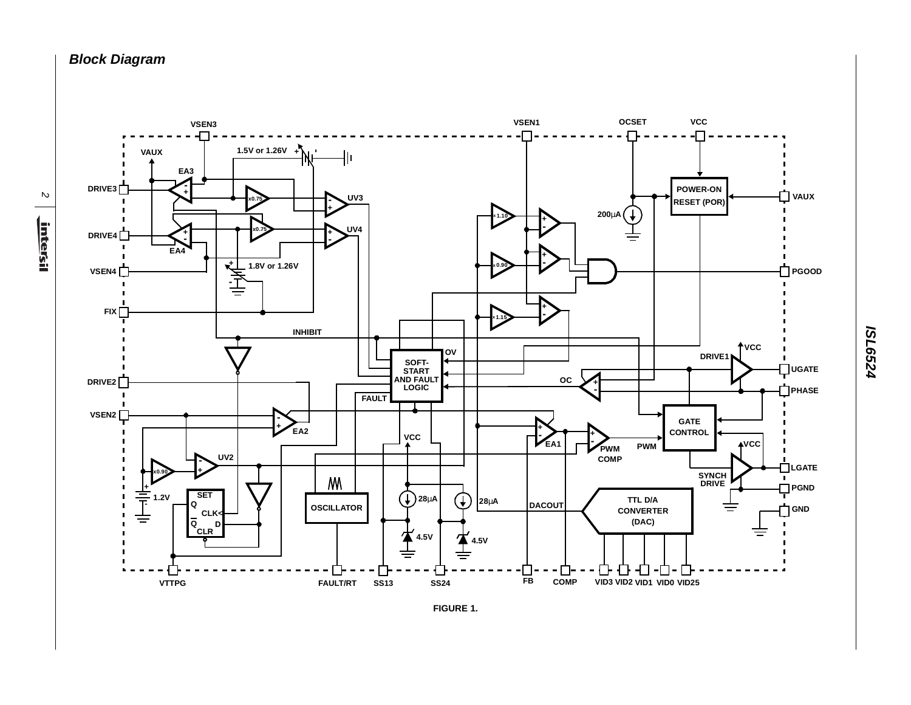**Block Diagram**

 $\mathbb N$ <u>intersil</u>



**ISL6524**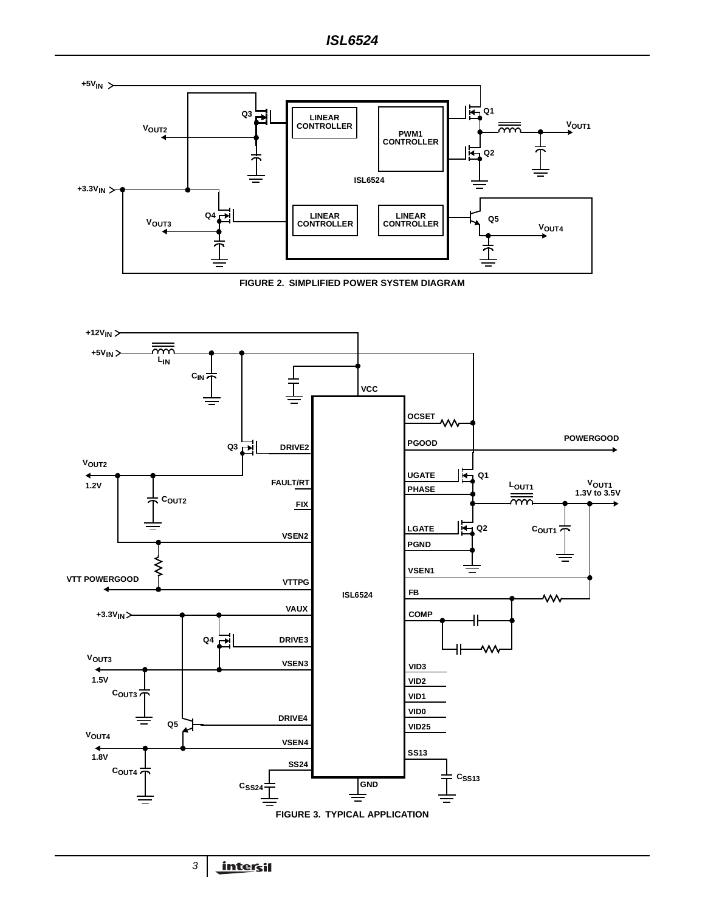



3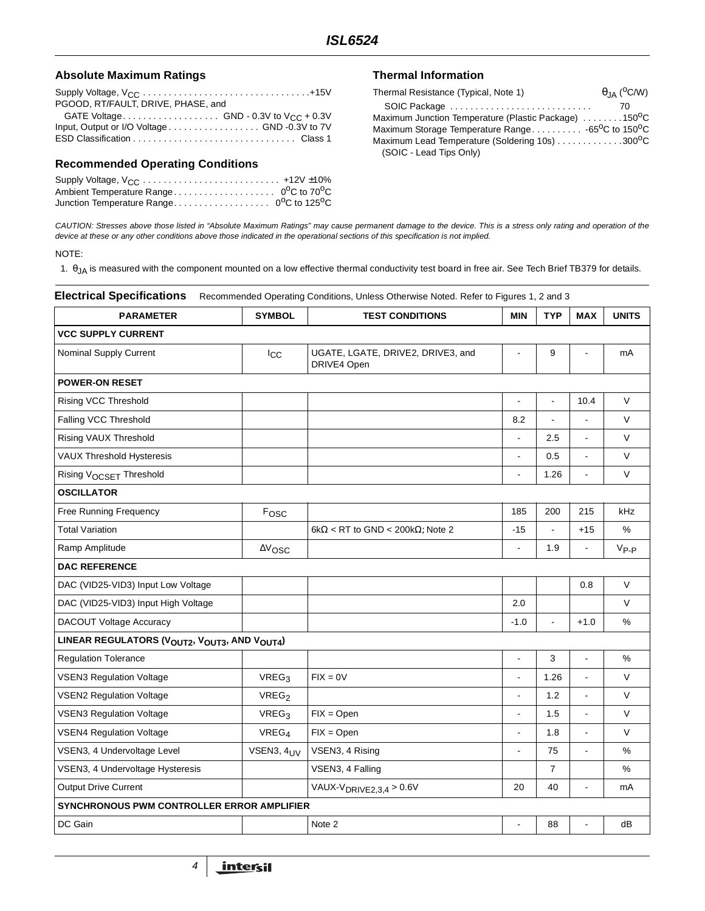### Absolute Maximum Ratings **Thermal Information**

| PGOOD, RT/FAULT, DRIVE, PHASE, and           |
|----------------------------------------------|
| GATE Voltage GND - 0.3V to $V_{CC}$ + 0.3V   |
| Input, Output or I/O Voltage GND -0.3V to 7V |
|                                              |

### **Recommended Operating Conditions**

| $\theta$ <sub>JA</sub> ( <sup>o</sup> C/W)                                 |
|----------------------------------------------------------------------------|
| SOIC Package<br>70                                                         |
| Maximum Junction Temperature (Plastic Package) 150 <sup>0</sup> C          |
| Maximum Storage Temperature Range -65 <sup>o</sup> C to 150 <sup>o</sup> C |
| Maximum Lead Temperature (Soldering 10s) 300°C                             |
|                                                                            |
|                                                                            |

CAUTION: Stresses above those listed in "Absolute Maximum Ratings" may cause permanent damage to the device. This is a stress only rating and operation of the device at these or any other conditions above those indicated in the operational sections of this specification is not implied.

### NOTE:

1. θJA is measured with the component mounted on a low effective thermal conductivity test board in free air. See Tech Brief TB379 for details.

| <b>Electrical Specifications</b><br>Recommended Operating Conditions, Unless Otherwise Noted. Refer to Figures 1, 2 and 3 |                           |                                                  |                          |                          |                          |              |  |
|---------------------------------------------------------------------------------------------------------------------------|---------------------------|--------------------------------------------------|--------------------------|--------------------------|--------------------------|--------------|--|
| <b>PARAMETER</b>                                                                                                          | <b>SYMBOL</b>             | <b>TEST CONDITIONS</b>                           | <b>MIN</b>               | <b>TYP</b>               | <b>MAX</b>               | <b>UNITS</b> |  |
| <b>VCC SUPPLY CURRENT</b>                                                                                                 |                           |                                                  |                          |                          |                          |              |  |
| <b>Nominal Supply Current</b>                                                                                             | $I_{\rm CC}$              | UGATE, LGATE, DRIVE2, DRIVE3, and<br>DRIVE4 Open | Ĭ.                       | 9                        |                          | mA           |  |
| <b>POWER-ON RESET</b>                                                                                                     |                           |                                                  |                          |                          |                          |              |  |
| Rising VCC Threshold                                                                                                      |                           |                                                  | $\overline{a}$           | $\overline{\phantom{a}}$ | 10.4                     | $\vee$       |  |
| Falling VCC Threshold                                                                                                     |                           |                                                  | 8.2                      |                          |                          | $\vee$       |  |
| Rising VAUX Threshold                                                                                                     |                           |                                                  | $\overline{\phantom{a}}$ | 2.5                      | $\overline{\phantom{a}}$ | V            |  |
| <b>VAUX Threshold Hysteresis</b>                                                                                          |                           |                                                  | $\overline{a}$           | 0.5                      |                          | $\vee$       |  |
| Rising VOCSET Threshold                                                                                                   |                           |                                                  | $\overline{\phantom{a}}$ | 1.26                     |                          | V            |  |
| <b>OSCILLATOR</b>                                                                                                         |                           |                                                  |                          |                          |                          |              |  |
| Free Running Frequency                                                                                                    | Fosc                      |                                                  | 185                      | 200                      | 215                      | kHz          |  |
| <b>Total Variation</b>                                                                                                    |                           | $6k\Omega$ < RT to GND < 200 $k\Omega$ ; Note 2  | $-15$                    | $\overline{a}$           | $+15$                    | $\%$         |  |
| Ramp Amplitude                                                                                                            | $\Delta\rm{V}_{\rm{OSC}}$ |                                                  | $\blacksquare$           | 1.9                      |                          | $V_{P-P}$    |  |
| <b>DAC REFERENCE</b>                                                                                                      |                           |                                                  |                          |                          |                          |              |  |
| DAC (VID25-VID3) Input Low Voltage                                                                                        |                           |                                                  |                          |                          | 0.8                      | $\vee$       |  |
| DAC (VID25-VID3) Input High Voltage                                                                                       |                           |                                                  | 2.0                      |                          |                          | $\vee$       |  |
| DACOUT Voltage Accuracy                                                                                                   |                           |                                                  | $-1.0$                   | $\overline{a}$           | $+1.0$                   | %            |  |
| LINEAR REGULATORS (VOUT2, VOUT3, AND VOUT4)                                                                               |                           |                                                  |                          |                          |                          |              |  |
| <b>Regulation Tolerance</b>                                                                                               |                           |                                                  | $\blacksquare$           | 3                        | $\overline{a}$           | $\%$         |  |
| <b>VSEN3 Regulation Voltage</b>                                                                                           | VREG <sub>3</sub>         | $FIX = 0V$                                       | L.                       | 1.26                     |                          | $\vee$       |  |
| <b>VSEN2 Regulation Voltage</b>                                                                                           | VREG <sub>2</sub>         |                                                  | $\overline{\phantom{a}}$ | 1.2                      | $\blacksquare$           | V            |  |
| <b>VSEN3 Regulation Voltage</b>                                                                                           | VREG <sub>3</sub>         | $FIX = Open$                                     | L.                       | 1.5                      | $\overline{a}$           | $\vee$       |  |
| <b>VSEN4 Regulation Voltage</b>                                                                                           | VREG <sub>4</sub>         | $FIX = Open$                                     | L.                       | 1.8                      | L.                       | V            |  |
| VSEN3, 4 Undervoltage Level                                                                                               | VSEN3, 4UV                | VSEN3, 4 Rising                                  | $\overline{\phantom{a}}$ | 75                       |                          | $\%$         |  |
| VSEN3, 4 Undervoltage Hysteresis                                                                                          |                           | VSEN3, 4 Falling                                 |                          | 7                        |                          | %            |  |
| <b>Output Drive Current</b>                                                                                               |                           | VAUX-V <sub>DRIVE2,3,4</sub> > $0.6V$            | 20                       | 40                       |                          | mA           |  |
| SYNCHRONOUS PWM CONTROLLER ERROR AMPLIFIER                                                                                |                           |                                                  |                          |                          |                          |              |  |
| DC Gain                                                                                                                   |                           | Note 2                                           | L.                       | 88                       |                          | dB           |  |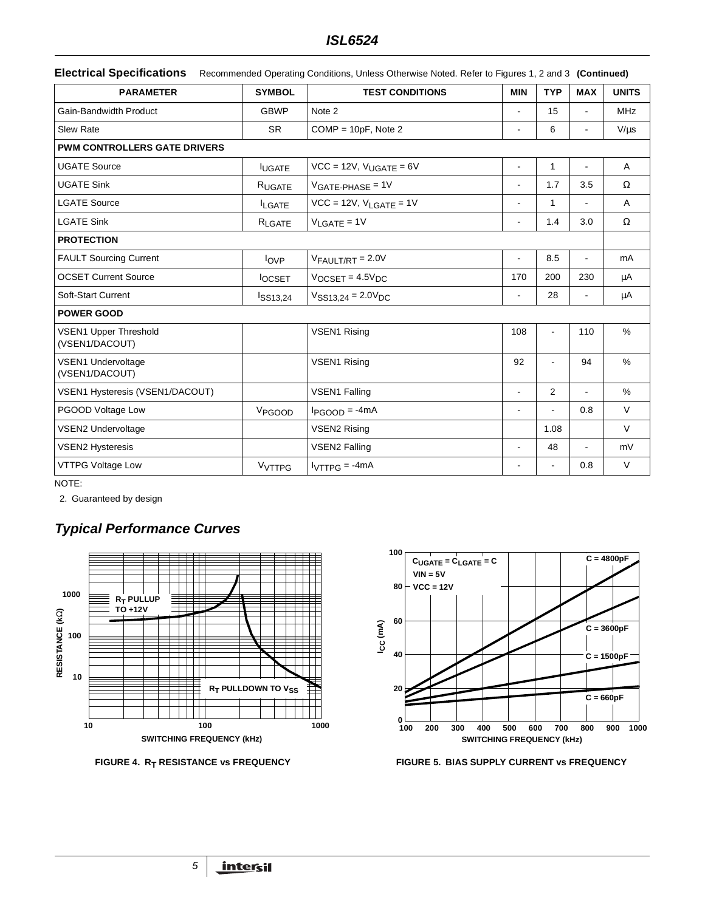# **ISL6524**

|  | Electrical Specifications Recommended Operating Conditions, Unless Otherwise Noted. Refer to Figures 1, 2 and 3 (Continued) |  |  |  |
|--|-----------------------------------------------------------------------------------------------------------------------------|--|--|--|
|--|-----------------------------------------------------------------------------------------------------------------------------|--|--|--|

| <b>PARAMETER</b>                               | <b>SYMBOL</b>      | <b>TEST CONDITIONS</b>                          | <b>MIN</b>               | <b>TYP</b>     | <b>MAX</b>               | <b>UNITS</b> |
|------------------------------------------------|--------------------|-------------------------------------------------|--------------------------|----------------|--------------------------|--------------|
| Gain-Bandwidth Product                         | <b>GBWP</b>        | Note 2                                          | $\overline{a}$           | 15             |                          | <b>MHz</b>   |
| Slew Rate                                      | <b>SR</b>          | $COMP = 10pF$ , Note 2                          | Ĭ.                       | 6              |                          | $V/\mu s$    |
| PWM CONTROLLERS GATE DRIVERS                   |                    |                                                 |                          |                |                          |              |
| <b>UGATE Source</b>                            | <b>IUGATE</b>      | $VCC = 12V$ , $V_{UGATE} = 6V$                  | $\ddot{\phantom{a}}$     | $\mathbf{1}$   |                          | $\mathsf{A}$ |
| <b>UGATE Sink</b>                              | RUGATE             | $VGATE-PHASE = 1V$                              | $\blacksquare$           | 1.7            | 3.5                      | $\Omega$     |
| <b>LGATE Source</b>                            | <b>LGATE</b>       | $VCC = 12V$ , $V_{LGATE} = 1V$                  | $\blacksquare$           | $\mathbf{1}$   |                          | A            |
| <b>LGATE Sink</b>                              | RLGATE             | $V_{\text{LGATE}} = 1V$                         | $\overline{\phantom{a}}$ | 1.4            | 3.0                      | $\Omega$     |
| <b>PROTECTION</b>                              |                    |                                                 |                          |                |                          |              |
| <b>FAULT Sourcing Current</b>                  | $I_{OVP}$          | $V_{FAULT/RT} = 2.0V$                           | $\blacksquare$           | 8.5            | $\blacksquare$           | mA           |
| <b>OCSET Current Source</b>                    | <b>OCSET</b>       | $V_{OCSET} = 4.5V_{DC}$                         | 170                      | 200            | 230                      | μA           |
| Soft-Start Current                             | <b>ISS13,24</b>    | $V$ SS <sub>13.24</sub> = 2.0 $V$ <sub>DC</sub> | $\blacksquare$           | 28             | $\overline{\phantom{a}}$ | μA           |
| <b>POWER GOOD</b>                              |                    |                                                 |                          |                |                          |              |
| <b>VSEN1 Upper Threshold</b><br>(VSEN1/DACOUT) |                    | <b>VSEN1 Rising</b>                             | 108                      | $\blacksquare$ | 110                      | %            |
| <b>VSEN1 Undervoltage</b><br>(VSEN1/DACOUT)    |                    | <b>VSEN1 Rising</b>                             | 92                       | ÷              | 94                       | $\%$         |
| VSEN1 Hysteresis (VSEN1/DACOUT)                |                    | <b>VSEN1 Falling</b>                            | $\overline{\phantom{a}}$ | $\overline{2}$ | $\blacksquare$           | $\%$         |
| PGOOD Voltage Low                              | V <sub>PGOOD</sub> | $I_{PGOOD} = -4mA$                              | $\blacksquare$           | ä,             | 0.8                      | $\vee$       |
| VSEN2 Undervoltage                             |                    | <b>VSEN2 Rising</b>                             |                          | 1.08           |                          | $\vee$       |
| <b>VSEN2 Hysteresis</b>                        |                    | <b>VSEN2 Falling</b>                            | $\overline{a}$           | 48             | $\overline{a}$           | mV           |
| <b>VTTPG Voltage Low</b>                       | V <sub>VTTPG</sub> | $IVTTPG = -4mA$                                 | $\blacksquare$           | $\blacksquare$ | 0.8                      | $\vee$       |

NOTE:

2. Guaranteed by design

# **Typical Performance Curves**





FIGURE 4. R<sub>T</sub> RESISTANCE vs FREQUENCY FIGURE 5. BIAS SUPPLY CURRENT vs FREQUENCY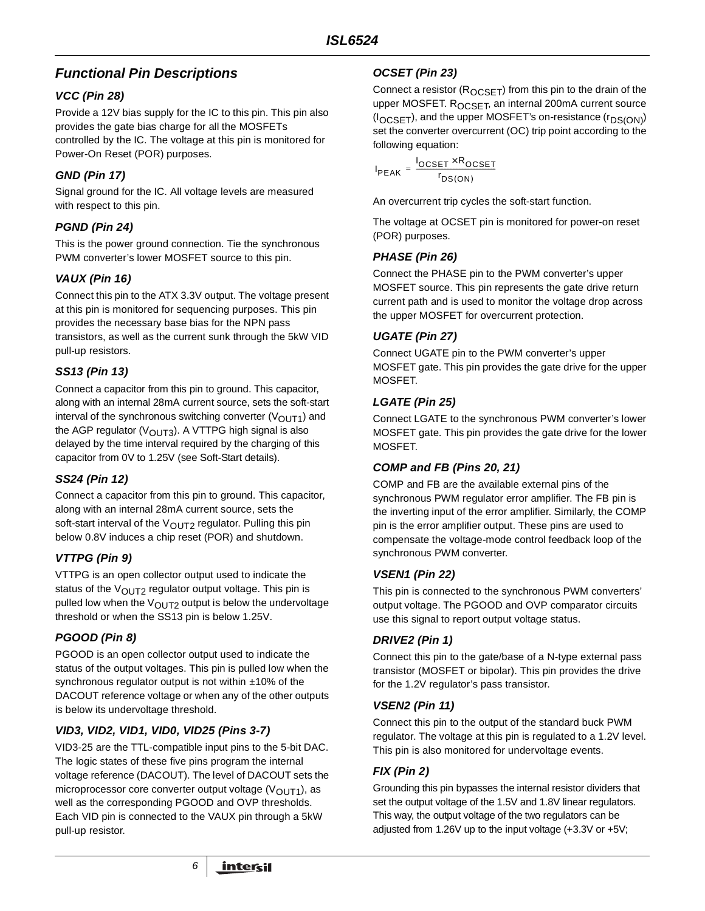# **Functional Pin Descriptions**

# **VCC (Pin 28)**

Provide a 12V bias supply for the IC to this pin. This pin also provides the gate bias charge for all the MOSFETs controlled by the IC. The voltage at this pin is monitored for Power-On Reset (POR) purposes.

# **GND (Pin 17)**

Signal ground for the IC. All voltage levels are measured with respect to this pin.

## **PGND (Pin 24)**

This is the power ground connection. Tie the synchronous PWM converter's lower MOSFET source to this pin.

### **VAUX (Pin 16)**

Connect this pin to the ATX 3.3V output. The voltage present at this pin is monitored for sequencing purposes. This pin provides the necessary base bias for the NPN pass transistors, as well as the current sunk through the 5kW VID pull-up resistors.

## **SS13 (Pin 13)**

Connect a capacitor from this pin to ground. This capacitor, along with an internal 28mA current source, sets the soft-start interval of the synchronous switching converter  $(V_{\text{OUT1}})$  and the AGP regulator ( $V_{\text{OUT3}}$ ). A VTTPG high signal is also delayed by the time interval required by the charging of this capacitor from 0V to 1.25V (see Soft-Start details).

### **SS24 (Pin 12)**

Connect a capacitor from this pin to ground. This capacitor, along with an internal 28mA current source, sets the soft-start interval of the  $V_{\text{OUT2}}$  regulator. Pulling this pin below 0.8V induces a chip reset (POR) and shutdown.

# **VTTPG (Pin 9)**

VTTPG is an open collector output used to indicate the status of the  $V_{\text{OUT2}}$  regulator output voltage. This pin is pulled low when the  $V_{\text{OUT2}}$  output is below the undervoltage threshold or when the SS13 pin is below 1.25V.

# **PGOOD (Pin 8)**

PGOOD is an open collector output used to indicate the status of the output voltages. This pin is pulled low when the synchronous regulator output is not within ±10% of the DACOUT reference voltage or when any of the other outputs is below its undervoltage threshold.

### **VID3, VID2, VID1, VID0, VID25 (Pins 3-7)**

VID3-25 are the TTL-compatible input pins to the 5-bit DAC. The logic states of these five pins program the internal voltage reference (DACOUT). The level of DACOUT sets the microprocessor core converter output voltage ( $V$  $O$ UT1), as well as the corresponding PGOOD and OVP thresholds. Each VID pin is connected to the VAUX pin through a 5kW pull-up resistor.

6

# **OCSET (Pin 23)**

Connect a resistor ( $R_{OCSET}$ ) from this pin to the drain of the upper MOSFET. R<sub>OCSET</sub>, an internal 200mA current source (I<sub>OCSET</sub>), and the upper MOSFET's on-resistance (r<sub>DS(ON)</sub>) set the converter overcurrent (OC) trip point according to the following equation:

I PEAK l<sub>ocset</sub> × R<sub>ocset</sub>  $r_{DS(ON)}$  $=\frac{OCSE1}{I}$ 

An overcurrent trip cycles the soft-start function.

The voltage at OCSET pin is monitored for power-on reset (POR) purposes.

## **PHASE (Pin 26)**

Connect the PHASE pin to the PWM converter's upper MOSFET source. This pin represents the gate drive return current path and is used to monitor the voltage drop across the upper MOSFET for overcurrent protection.

## **UGATE (Pin 27)**

Connect UGATE pin to the PWM converter's upper MOSFET gate. This pin provides the gate drive for the upper MOSFET.

### **LGATE (Pin 25)**

Connect LGATE to the synchronous PWM converter's lower MOSFET gate. This pin provides the gate drive for the lower MOSFET.

### **COMP and FB (Pins 20, 21)**

COMP and FB are the available external pins of the synchronous PWM regulator error amplifier. The FB pin is the inverting input of the error amplifier. Similarly, the COMP pin is the error amplifier output. These pins are used to compensate the voltage-mode control feedback loop of the synchronous PWM converter.

# **VSEN1 (Pin 22)**

This pin is connected to the synchronous PWM converters' output voltage. The PGOOD and OVP comparator circuits use this signal to report output voltage status.

# **DRIVE2 (Pin 1)**

Connect this pin to the gate/base of a N-type external pass transistor (MOSFET or bipolar). This pin provides the drive for the 1.2V regulator's pass transistor.

### **VSEN2 (Pin 11)**

Connect this pin to the output of the standard buck PWM regulator. The voltage at this pin is regulated to a 1.2V level. This pin is also monitored for undervoltage events.

# **FIX (Pin 2)**

Grounding this pin bypasses the internal resistor dividers that set the output voltage of the 1.5V and 1.8V linear regulators. This way, the output voltage of the two regulators can be adjusted from 1.26V up to the input voltage (+3.3V or +5V;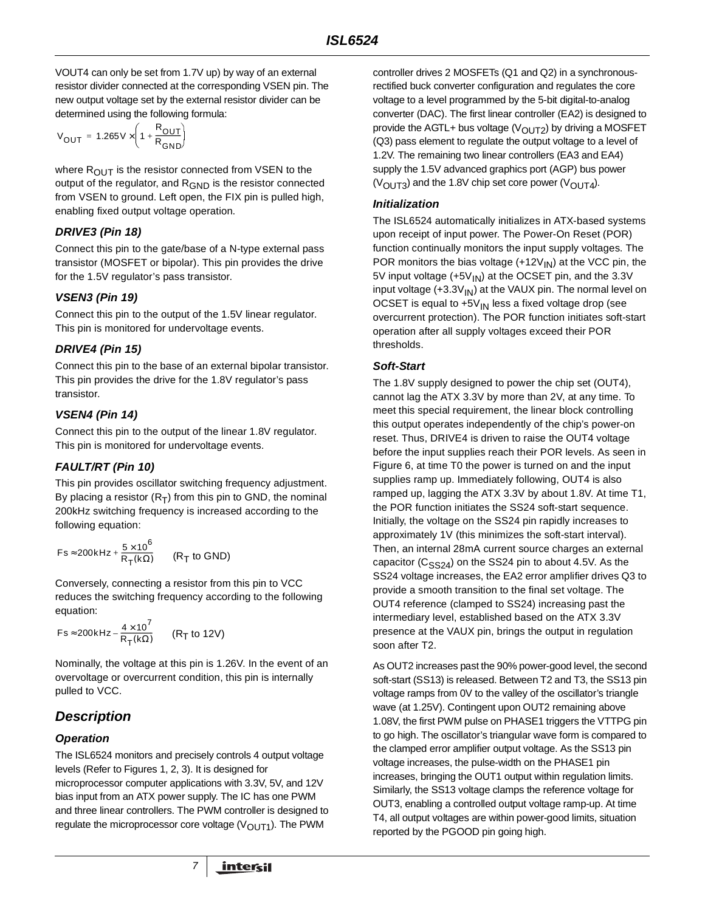VOUT4 can only be set from 1.7V up) by way of an external resistor divider connected at the corresponding VSEN pin. The new output voltage set by the external resistor divider can be determined using the following formula:

$$
V_{OUT} = 1.265V \times \left(1 + \frac{R_{OUT}}{R_{GND}}\right)
$$

where  $R_{\text{OUT}}$  is the resistor connected from VSEN to the output of the regulator, and  $R_{GND}$  is the resistor connected from VSEN to ground. Left open, the FIX pin is pulled high, enabling fixed output voltage operation.

### **DRIVE3 (Pin 18)**

Connect this pin to the gate/base of a N-type external pass transistor (MOSFET or bipolar). This pin provides the drive for the 1.5V regulator's pass transistor.

## **VSEN3 (Pin 19)**

Connect this pin to the output of the 1.5V linear regulator. This pin is monitored for undervoltage events.

### **DRIVE4 (Pin 15)**

Connect this pin to the base of an external bipolar transistor. This pin provides the drive for the 1.8V regulator's pass transistor.

## **VSEN4 (Pin 14)**

Connect this pin to the output of the linear 1.8V regulator. This pin is monitored for undervoltage events.

### **FAULT/RT (Pin 10)**

This pin provides oscillator switching frequency adjustment. By placing a resistor  $(R_T)$  from this pin to GND, the nominal 200kHz switching frequency is increased according to the following equation:

$$
Fs \approx 200\, \text{kHz} + \frac{5 \times 10^6}{R_T(k\Omega)} \qquad \text{(R}_T \text{ to GND)}
$$

Conversely, connecting a resistor from this pin to VCC reduces the switching frequency according to the following equation:

$$
Fs \approx 200kHz - \frac{4 \times 10^7}{R_T(k\Omega)} \qquad (R_T \text{ to } 12V)
$$

Nominally, the voltage at this pin is 1.26V. In the event of an overvoltage or overcurrent condition, this pin is internally pulled to VCC.

# **Description**

# **Operation**

The ISL6524 monitors and precisely controls 4 output voltage levels (Refer to Figures 1, 2, 3). It is designed for microprocessor computer applications with 3.3V, 5V, and 12V bias input from an ATX power supply. The IC has one PWM and three linear controllers. The PWM controller is designed to regulate the microprocessor core voltage ( $V_{\text{OUT1}}$ ). The PWM

controller drives 2 MOSFETs (Q1 and Q2) in a synchronousrectified buck converter configuration and regulates the core voltage to a level programmed by the 5-bit digital-to-analog converter (DAC). The first linear controller (EA2) is designed to provide the AGTL+ bus voltage ( $V_{\text{OUT2}}$ ) by driving a MOSFET (Q3) pass element to regulate the output voltage to a level of 1.2V. The remaining two linear controllers (EA3 and EA4) supply the 1.5V advanced graphics port (AGP) bus power  $(V<sub>OUT3</sub>)$  and the 1.8V chip set core power  $(V<sub>OUT4</sub>)$ .

### **Initialization**

The ISL6524 automatically initializes in ATX-based systems upon receipt of input power. The Power-On Reset (POR) function continually monitors the input supply voltages. The POR monitors the bias voltage  $(+12V_{N})$  at the VCC pin, the 5V input voltage  $(+5V_{\text{IN}})$  at the OCSET pin, and the 3.3V input voltage  $(+3.3V_{\text{IN}})$  at the VAUX pin. The normal level on OCSET is equal to  $+5V_{IN}$  less a fixed voltage drop (see overcurrent protection). The POR function initiates soft-start operation after all supply voltages exceed their POR thresholds.

### **Soft-Start**

The 1.8V supply designed to power the chip set (OUT4), cannot lag the ATX 3.3V by more than 2V, at any time. To meet this special requirement, the linear block controlling this output operates independently of the chip's power-on reset. Thus, DRIVE4 is driven to raise the OUT4 voltage before the input supplies reach their POR levels. As seen in Figure 6, at time T0 the power is turned on and the input supplies ramp up. Immediately following, OUT4 is also ramped up, lagging the ATX 3.3V by about 1.8V. At time T1, the POR function initiates the SS24 soft-start sequence. Initially, the voltage on the SS24 pin rapidly increases to approximately 1V (this minimizes the soft-start interval). Then, an internal 28mA current source charges an external capacitor ( $C_{SS24}$ ) on the SS24 pin to about 4.5V. As the SS24 voltage increases, the EA2 error amplifier drives Q3 to provide a smooth transition to the final set voltage. The OUT4 reference (clamped to SS24) increasing past the intermediary level, established based on the ATX 3.3V presence at the VAUX pin, brings the output in regulation soon after T2.

As OUT2 increases past the 90% power-good level, the second soft-start (SS13) is released. Between T2 and T3, the SS13 pin voltage ramps from 0V to the valley of the oscillator's triangle wave (at 1.25V). Contingent upon OUT2 remaining above 1.08V, the first PWM pulse on PHASE1 triggers the VTTPG pin to go high. The oscillator's triangular wave form is compared to the clamped error amplifier output voltage. As the SS13 pin voltage increases, the pulse-width on the PHASE1 pin increases, bringing the OUT1 output within regulation limits. Similarly, the SS13 voltage clamps the reference voltage for OUT3, enabling a controlled output voltage ramp-up. At time T4, all output voltages are within power-good limits, situation reported by the PGOOD pin going high.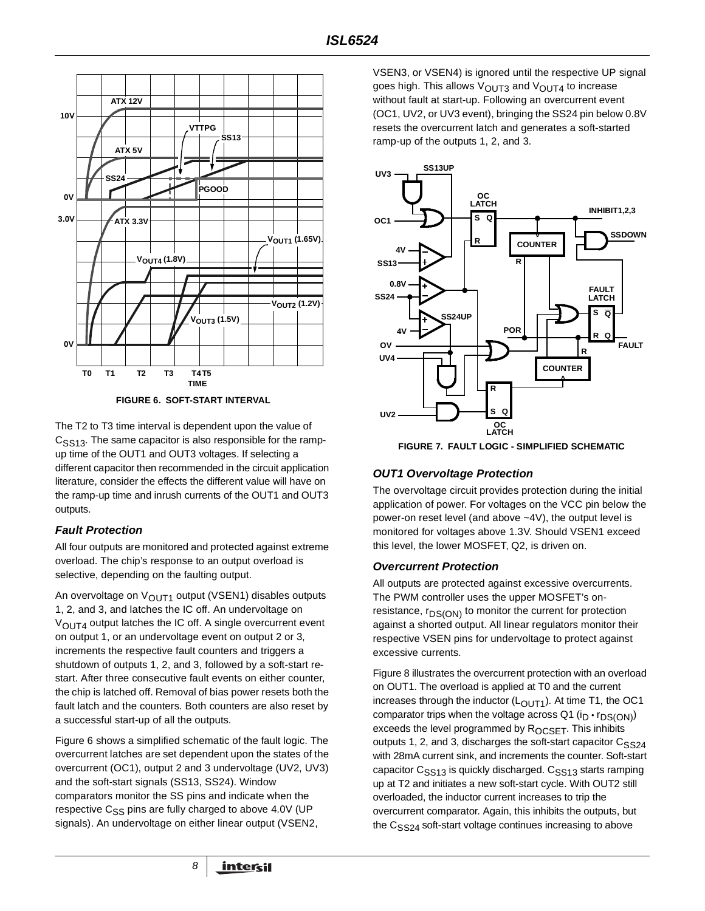

**FIGURE 6. SOFT-START INTERVAL**

The T2 to T3 time interval is dependent upon the value of  $C<sub>SS13</sub>$ . The same capacitor is also responsible for the rampup time of the OUT1 and OUT3 voltages. If selecting a different capacitor then recommended in the circuit application literature, consider the effects the different value will have on the ramp-up time and inrush currents of the OUT1 and OUT3 outputs.

### **Fault Protection**

All four outputs are monitored and protected against extreme overload. The chip's response to an output overload is selective, depending on the faulting output.

An overvoltage on  $V_{OUT1}$  output (VSEN1) disables outputs 1, 2, and 3, and latches the IC off. An undervoltage on  $V_{\text{OUT4}}$  output latches the IC off. A single overcurrent event on output 1, or an undervoltage event on output 2 or 3, increments the respective fault counters and triggers a shutdown of outputs 1, 2, and 3, followed by a soft-start restart. After three consecutive fault events on either counter, the chip is latched off. Removal of bias power resets both the fault latch and the counters. Both counters are also reset by a successful start-up of all the outputs.

Figure 6 shows a simplified schematic of the fault logic. The overcurrent latches are set dependent upon the states of the overcurrent (OC1), output 2 and 3 undervoltage (UV2, UV3) and the soft-start signals (SS13, SS24). Window comparators monitor the SS pins and indicate when the respective  $C_{SS}$  pins are fully charged to above 4.0V (UP signals). An undervoltage on either linear output (VSEN2,

VSEN3, or VSEN4) is ignored until the respective UP signal goes high. This allows  $V_{\text{OUT3}}$  and  $V_{\text{OUT4}}$  to increase without fault at start-up. Following an overcurrent event (OC1, UV2, or UV3 event), bringing the SS24 pin below 0.8V resets the overcurrent latch and generates a soft-started ramp-up of the outputs 1, 2, and 3.



**FIGURE 7. FAULT LOGIC - SIMPLIFIED SCHEMATIC**

### **OUT1 Overvoltage Protection**

The overvoltage circuit provides protection during the initial application of power. For voltages on the VCC pin below the power-on reset level (and above ~4V), the output level is monitored for voltages above 1.3V. Should VSEN1 exceed this level, the lower MOSFET, Q2, is driven on.

### **Overcurrent Protection**

All outputs are protected against excessive overcurrents. The PWM controller uses the upper MOSFET's onresistance,  $r_{DS(ON)}$  to monitor the current for protection against a shorted output. All linear regulators monitor their respective VSEN pins for undervoltage to protect against excessive currents.

Figure 8 illustrates the overcurrent protection with an overload on OUT1. The overload is applied at T0 and the current increases through the inductor  $(L<sub>OUT1</sub>)$ . At time T1, the OC1 comparator trips when the voltage across  $Q1$  ( $i<sub>D</sub> \cdot r<sub>DS(ON)</sub>$ ) exceeds the level programmed by ROCSET. This inhibits outputs 1, 2, and 3, discharges the soft-start capacitor  $C_{SS24}$ with 28mA current sink, and increments the counter. Soft-start capacitor  $C<sub>SS13</sub>$  is quickly discharged.  $C<sub>SS13</sub>$  starts ramping up at T2 and initiates a new soft-start cycle. With OUT2 still overloaded, the inductor current increases to trip the overcurrent comparator. Again, this inhibits the outputs, but the  $C<sub>SS24</sub>$  soft-start voltage continues increasing to above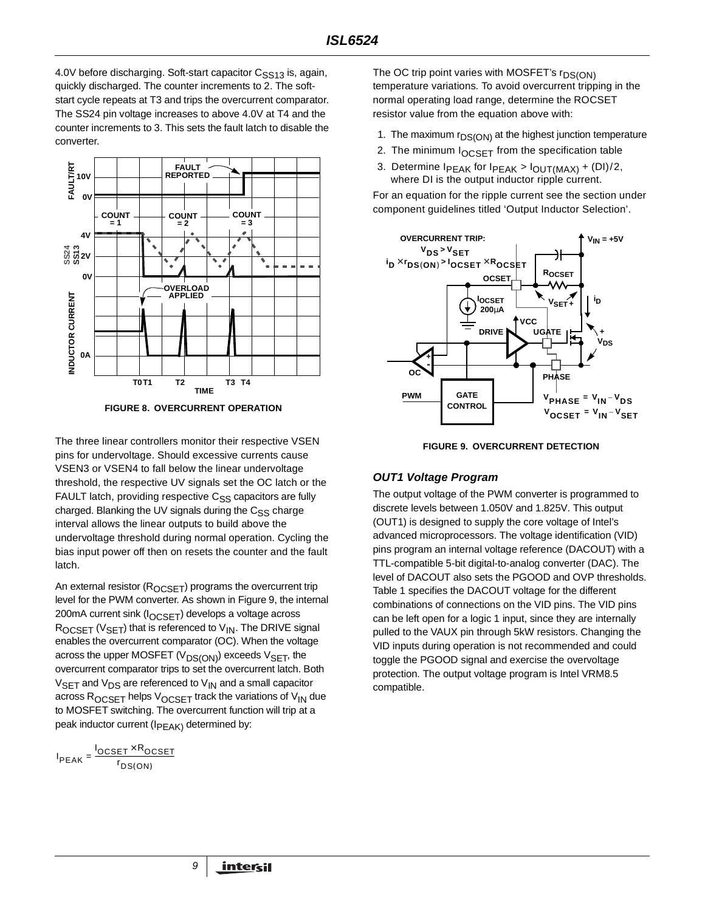4.0V before discharging. Soft-start capacitor C<sub>SS13</sub> is, again, quickly discharged. The counter increments to 2. The softstart cycle repeats at T3 and trips the overcurrent comparator. The SS24 pin voltage increases to above 4.0V at T4 and the counter increments to 3. This sets the fault latch to disable the converter.



**FIGURE 8. OVERCURRENT OPERATION**

The three linear controllers monitor their respective VSEN pins for undervoltage. Should excessive currents cause VSEN3 or VSEN4 to fall below the linear undervoltage threshold, the respective UV signals set the OC latch or the FAULT latch, providing respective  $C_{SS}$  capacitors are fully charged. Blanking the UV signals during the  $C_{SS}$  charge interval allows the linear outputs to build above the undervoltage threshold during normal operation. Cycling the bias input power off then on resets the counter and the fault latch.

An external resistor (ROCSET) programs the overcurrent trip level for the PWM converter. As shown in Figure 9, the internal 200mA current sink (I<sub>OCSET</sub>) develops a voltage across  $R_{OCSET}$  ( $V_{SET}$ ) that is referenced to  $V_{IN}$ . The DRIVE signal enables the overcurrent comparator (OC). When the voltage across the upper MOSFET ( $V_{DS(ON)}$ ) exceeds  $V_{SET}$ , the overcurrent comparator trips to set the overcurrent latch. Both  $V_{\text{SET}}$  and  $V_{\text{DS}}$  are referenced to  $V_{\text{IN}}$  and a small capacitor across R<sub>OCSET</sub> helps V<sub>OCSET</sub> track the variations of V<sub>IN</sub> due to MOSFET switching. The overcurrent function will trip at a peak inductor current (I<sub>PEAK)</sub> determined by:

$$
I_{PEAK} = \frac{I_{OCSET} \times R_{OCSET}}{r_{DS(ON)}}
$$

The OC trip point varies with MOSFET's  $r_{DS(ON)}$ temperature variations. To avoid overcurrent tripping in the normal operating load range, determine the ROCSET resistor value from the equation above with:

- 1. The maximum  $r_{DS(ON)}$  at the highest junction temperature
- 2. The minimum  $I_{OCSET}$  from the specification table
- 3. Determine  $I_{PEAK}$  for  $I_{PEAK}$  >  $I_{OUT(MAX)} + (DI)/2$ , where DI is the output inductor ripple current.

For an equation for the ripple current see the section under component guidelines titled 'Output Inductor Selection'.





### **OUT1 Voltage Program**

The output voltage of the PWM converter is programmed to discrete levels between 1.050V and 1.825V. This output (OUT1) is designed to supply the core voltage of Intel's advanced microprocessors. The voltage identification (VID) pins program an internal voltage reference (DACOUT) with a TTL-compatible 5-bit digital-to-analog converter (DAC). The level of DACOUT also sets the PGOOD and OVP thresholds. Table 1 specifies the DACOUT voltage for the different combinations of connections on the VID pins. The VID pins can be left open for a logic 1 input, since they are internally pulled to the VAUX pin through 5kW resistors. Changing the VID inputs during operation is not recommended and could toggle the PGOOD signal and exercise the overvoltage protection. The output voltage program is Intel VRM8.5 compatible.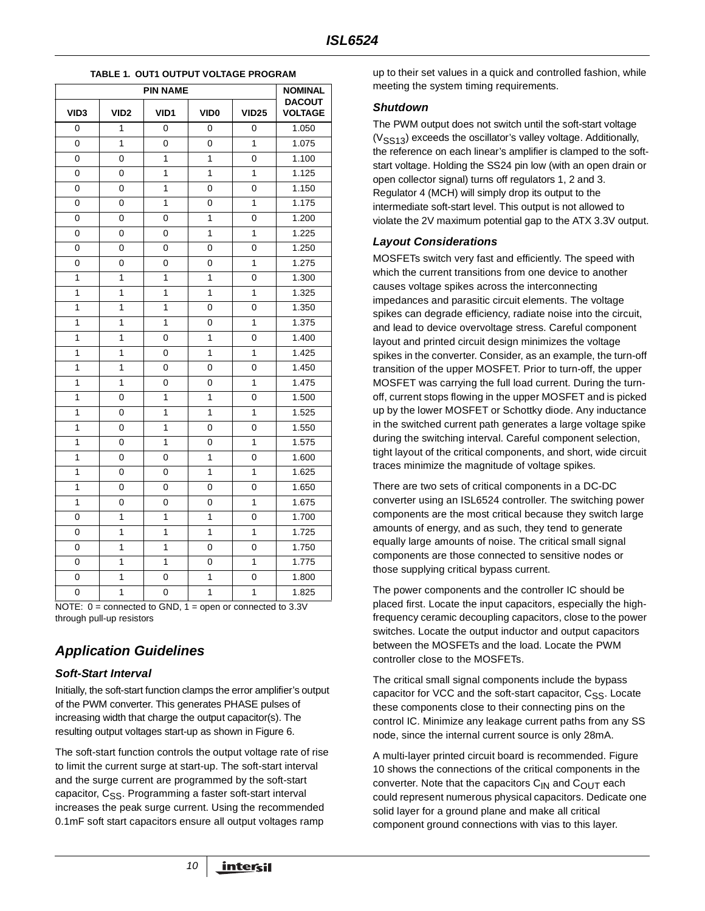| <b>PIN NAME</b>  |                  |              |                  |                | <b>NOMINAL</b>                  |
|------------------|------------------|--------------|------------------|----------------|---------------------------------|
| VID <sub>3</sub> | VID <sub>2</sub> | VID1         | VID <sub>0</sub> | <b>VID25</b>   | <b>DACOUT</b><br><b>VOLTAGE</b> |
| $\Omega$         | 1                | 0            | 0                | 0              | 1.050                           |
| 0                | $\mathbf{1}$     | 0            | 0                | 1              | 1.075                           |
| 0                | 0                | 1            | 1                | 0              | 1.100                           |
| 0                | 0                | 1            | 1                | 1              | 1.125                           |
| 0                | 0                | 1            | 0                | 0              | 1.150                           |
| 0                | 0                | $\mathbf{1}$ | 0                | 1              | 1.175                           |
| 0                | 0                | 0            | $\mathbf{1}$     | 0              | 1.200                           |
| 0                | 0                | 0            | 1                | 1              | 1.225                           |
| 0                | 0                | 0            | 0                | 0              | 1.250                           |
| 0                | 0                | 0            | 0                | $\mathbf{1}$   | 1.275                           |
| $\mathbf{1}$     | $\mathbf{1}$     | $\mathbf{1}$ | 1                | 0              | 1.300                           |
| 1                | 1                | $\mathbf{1}$ | $\overline{1}$   | 1              | 1.325                           |
| $\mathbf{1}$     | $\mathbf{1}$     | $\mathbf{1}$ | 0                | 0              | 1.350                           |
| 1                | $\mathbf{1}$     | $\mathbf{1}$ | 0                | 1              | 1.375                           |
| $\mathbf{1}$     | $\mathbf{1}$     | 0            | 1                | 0              | 1.400                           |
| $\overline{1}$   | 1                | 0            | $\overline{1}$   | 1              | 1.425                           |
| $\mathbf{1}$     | 1                | 0            | 0                | 0              | 1.450                           |
| 1                | 1                | 0            | 0                | 1              | 1.475                           |
| 1                | 0                | 1            | 1                | 0              | 1.500                           |
| 1                | 0                | 1            | $\mathbf{1}$     | 1              | 1.525                           |
| $\mathbf{1}$     | 0                | $\mathbf{1}$ | 0                | 0              | 1.550                           |
| $\mathbf{1}$     | 0                | $\mathbf{1}$ | 0                | 1              | 1.575                           |
| 1                | 0                | 0            | 1                | 0              | 1.600                           |
| $\mathbf{1}$     | 0                | 0            | 1                | $\mathbf{1}$   | 1.625                           |
| $\overline{1}$   | 0                | 0            | 0                | $\overline{0}$ | 1.650                           |
| $\overline{1}$   | 0                | 0            | 0                | $\mathbf{1}$   | 1.675                           |
| 0                | 1                | $\mathbf{1}$ | $\mathbf{1}$     | 0              | 1.700                           |
| 0                | 1                | 1            | 1                | 1              | 1.725                           |
| 0                | 1                | 1            | 0                | 0              | 1.750                           |
| 0                | $\mathbf{1}$     | $\mathbf{1}$ | 0                | 1              | 1.775                           |
| 0                | 1                | 0            | $\mathbf{1}$     | 0              | 1.800                           |
| 0                | $\mathbf{1}$     | 0            | $\overline{1}$   | $\overline{1}$ | 1.825                           |

#### **TABLE 1. OUT1 OUTPUT VOLTAGE PROGRAM**

NOTE:  $0 =$  connected to GND,  $1 =$  open or connected to 3.3V through pull-up resistors

# **Application Guidelines**

### **Soft-Start Interval**

Initially, the soft-start function clamps the error amplifier's output of the PWM converter. This generates PHASE pulses of increasing width that charge the output capacitor(s). The resulting output voltages start-up as shown in Figure 6.

The soft-start function controls the output voltage rate of rise to limit the current surge at start-up. The soft-start interval and the surge current are programmed by the soft-start capacitor,  $C_{SS}$ . Programming a faster soft-start interval increases the peak surge current. Using the recommended 0.1mF soft start capacitors ensure all output voltages ramp

up to their set values in a quick and controlled fashion, while meeting the system timing requirements.

### **Shutdown**

The PWM output does not switch until the soft-start voltage  $(V<sub>SS13</sub>)$  exceeds the oscillator's valley voltage. Additionally, the reference on each linear's amplifier is clamped to the softstart voltage. Holding the SS24 pin low (with an open drain or open collector signal) turns off regulators 1, 2 and 3. Regulator 4 (MCH) will simply drop its output to the intermediate soft-start level. This output is not allowed to violate the 2V maximum potential gap to the ATX 3.3V output.

### **Layout Considerations**

MOSFETs switch very fast and efficiently. The speed with which the current transitions from one device to another causes voltage spikes across the interconnecting impedances and parasitic circuit elements. The voltage spikes can degrade efficiency, radiate noise into the circuit, and lead to device overvoltage stress. Careful component layout and printed circuit design minimizes the voltage spikes in the converter. Consider, as an example, the turn-off transition of the upper MOSFET. Prior to turn-off, the upper MOSFET was carrying the full load current. During the turnoff, current stops flowing in the upper MOSFET and is picked up by the lower MOSFET or Schottky diode. Any inductance in the switched current path generates a large voltage spike during the switching interval. Careful component selection, tight layout of the critical components, and short, wide circuit traces minimize the magnitude of voltage spikes.

There are two sets of critical components in a DC-DC converter using an ISL6524 controller. The switching power components are the most critical because they switch large amounts of energy, and as such, they tend to generate equally large amounts of noise. The critical small signal components are those connected to sensitive nodes or those supplying critical bypass current.

The power components and the controller IC should be placed first. Locate the input capacitors, especially the highfrequency ceramic decoupling capacitors, close to the power switches. Locate the output inductor and output capacitors between the MOSFETs and the load. Locate the PWM controller close to the MOSFETs.

The critical small signal components include the bypass capacitor for VCC and the soft-start capacitor,  $C_{SS}$ . Locate these components close to their connecting pins on the control IC. Minimize any leakage current paths from any SS node, since the internal current source is only 28mA.

A multi-layer printed circuit board is recommended. Figure 10 shows the connections of the critical components in the converter. Note that the capacitors  $C_{IN}$  and  $C_{OUT}$  each could represent numerous physical capacitors. Dedicate one solid layer for a ground plane and make all critical component ground connections with vias to this layer.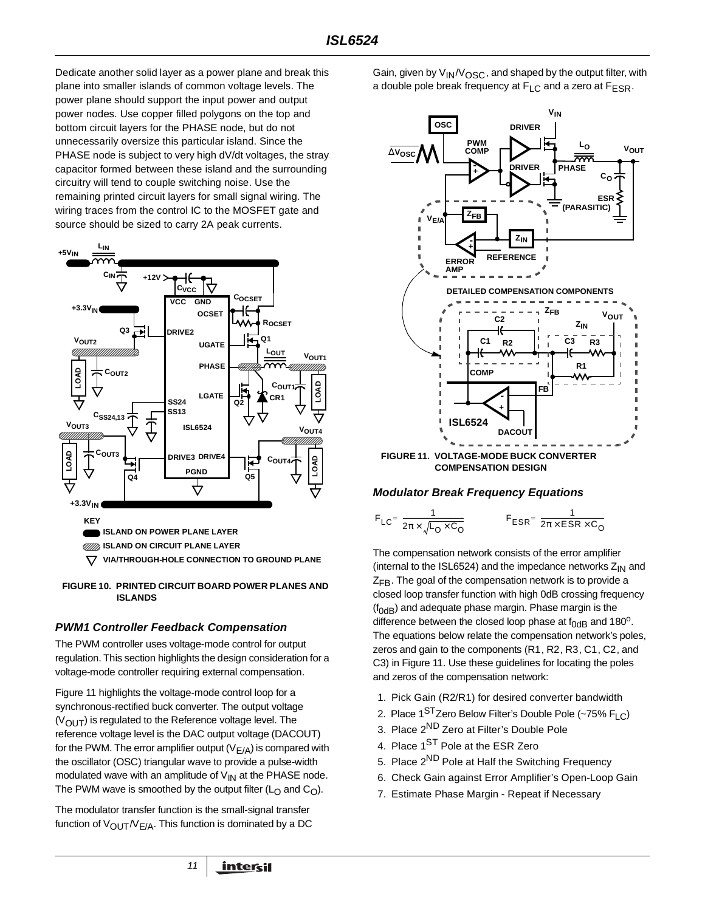Dedicate another solid layer as a power plane and break this plane into smaller islands of common voltage levels. The power plane should support the input power and output power nodes. Use copper filled polygons on the top and bottom circuit layers for the PHASE node, but do not unnecessarily oversize this particular island. Since the PHASE node is subject to very high dV/dt voltages, the stray capacitor formed between these island and the surrounding circuitry will tend to couple switching noise. Use the remaining printed circuit layers for small signal wiring. The wiring traces from the control IC to the MOSFET gate and source should be sized to carry 2A peak currents.





### **PWM1 Controller Feedback Compensation**

The PWM controller uses voltage-mode control for output regulation. This section highlights the design consideration for a voltage-mode controller requiring external compensation.

Figure 11 highlights the voltage-mode control loop for a synchronous-rectified buck converter. The output voltage  $(V<sub>OUT</sub>)$  is regulated to the Reference voltage level. The reference voltage level is the DAC output voltage (DACOUT) for the PWM. The error amplifier output  $(V_{E/A})$  is compared with the oscillator (OSC) triangular wave to provide a pulse-width modulated wave with an amplitude of  $V_{1N}$  at the PHASE node. The PWM wave is smoothed by the output filter ( $L<sub>O</sub>$  and  $C<sub>O</sub>$ ).

The modulator transfer function is the small-signal transfer function of  $V_{\text{OUT}}/V_{\text{F/A}}$ . This function is dominated by a DC Gain, given by  $V_{IN}/V_{OSC}$ , and shaped by the output filter, with a double pole break frequency at  $F_{\text{L}}$  and a zero at  $F_{\text{FSR}}$ .



### **Modulator Break Frequency Equations**

$$
F_{LC} = \frac{1}{2\pi \times \sqrt{L_0 \times C_0}}
$$
 
$$
F_{ESR} = \frac{1}{2\pi \times ESR \times C_0}
$$

The compensation network consists of the error amplifier (internal to the ISL6524) and the impedance networks  $Z_{IN}$  and  $Z_{FR}$ . The goal of the compensation network is to provide a closed loop transfer function with high 0dB crossing frequency  $(f<sub>0dB</sub>)$  and adequate phase margin. Phase margin is the difference between the closed loop phase at  $f_{0dB}$  and 180<sup>o</sup>. The equations below relate the compensation network's poles, zeros and gain to the components (R1, R2, R3, C1, C2, and C3) in Figure 11. Use these guidelines for locating the poles and zeros of the compensation network:

- 1. Pick Gain (R2/R1) for desired converter bandwidth
- 2. Place  $1^{ST}$ Zero Below Filter's Double Pole (~75% FLC)
- 3. Place 2ND Zero at Filter's Double Pole
- 4. Place 1<sup>ST</sup> Pole at the ESR Zero
- 5. Place 2<sup>ND</sup> Pole at Half the Switching Frequency
- 6. Check Gain against Error Amplifier's Open-Loop Gain
- 7. Estimate Phase Margin Repeat if Necessary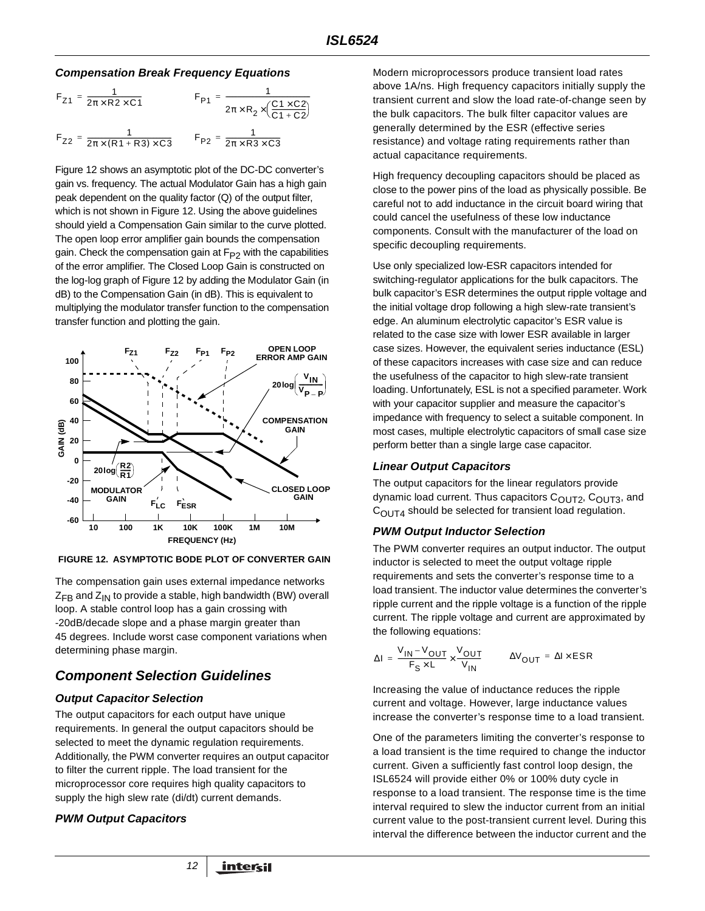### **Compensation Break Frequency Equations**

$$
F_{Z1} = \frac{1}{2\pi \times R2 \times C1}
$$
  
\n
$$
F_{P1} = \frac{1}{2\pi \times R_2 \times (\frac{C1 \times C2}{C1 + C2})}
$$
  
\n
$$
F_{Z2} = \frac{1}{2\pi \times (R1 + R3) \times C3}
$$
  
\n
$$
F_{P2} = \frac{1}{2\pi \times R3 \times C3}
$$

Figure 12 shows an asymptotic plot of the DC-DC converter's gain vs. frequency. The actual Modulator Gain has a high gain peak dependent on the quality factor (Q) of the output filter, which is not shown in Figure 12. Using the above guidelines should yield a Compensation Gain similar to the curve plotted. The open loop error amplifier gain bounds the compensation gain. Check the compensation gain at  $F_{P2}$  with the capabilities of the error amplifier. The Closed Loop Gain is constructed on the log-log graph of Figure 12 by adding the Modulator Gain (in dB) to the Compensation Gain (in dB). This is equivalent to multiplying the modulator transfer function to the compensation transfer function and plotting the gain.



**FIGURE 12. ASYMPTOTIC BODE PLOT OF CONVERTER GAIN**

The compensation gain uses external impedance networks  $Z_{FB}$  and  $Z_{IN}$  to provide a stable, high bandwidth (BW) overall loop. A stable control loop has a gain crossing with -20dB/decade slope and a phase margin greater than 45 degrees. Include worst case component variations when determining phase margin.

# **Component Selection Guidelines**

### **Output Capacitor Selection**

The output capacitors for each output have unique requirements. In general the output capacitors should be selected to meet the dynamic regulation requirements. Additionally, the PWM converter requires an output capacitor to filter the current ripple. The load transient for the microprocessor core requires high quality capacitors to supply the high slew rate (di/dt) current demands.

### **PWM Output Capacitors**

Modern microprocessors produce transient load rates above 1A/ns. High frequency capacitors initially supply the transient current and slow the load rate-of-change seen by the bulk capacitors. The bulk filter capacitor values are generally determined by the ESR (effective series resistance) and voltage rating requirements rather than actual capacitance requirements.

High frequency decoupling capacitors should be placed as close to the power pins of the load as physically possible. Be careful not to add inductance in the circuit board wiring that could cancel the usefulness of these low inductance components. Consult with the manufacturer of the load on specific decoupling requirements.

Use only specialized low-ESR capacitors intended for switching-regulator applications for the bulk capacitors. The bulk capacitor's ESR determines the output ripple voltage and the initial voltage drop following a high slew-rate transient's edge. An aluminum electrolytic capacitor's ESR value is related to the case size with lower ESR available in larger case sizes. However, the equivalent series inductance (ESL) of these capacitors increases with case size and can reduce the usefulness of the capacitor to high slew-rate transient loading. Unfortunately, ESL is not a specified parameter. Work with your capacitor supplier and measure the capacitor's impedance with frequency to select a suitable component. In most cases, multiple electrolytic capacitors of small case size perform better than a single large case capacitor.

### **Linear Output Capacitors**

The output capacitors for the linear regulators provide dynamic load current. Thus capacitors C<sub>OUT2</sub>, C<sub>OUT3</sub>, and  $C<sub>OUT4</sub>$  should be selected for transient load regulation.

### **PWM Output Inductor Selection**

The PWM converter requires an output inductor. The output inductor is selected to meet the output voltage ripple requirements and sets the converter's response time to a load transient. The inductor value determines the converter's ripple current and the ripple voltage is a function of the ripple current. The ripple voltage and current are approximated by the following equations:

$$
\Delta I = \frac{V_{IN} - V_{OUT}}{F_S \times L} \times \frac{V_{OUT}}{V_{IN}} \qquad \Delta V_{OUT} = \Delta I \times ESR
$$

Increasing the value of inductance reduces the ripple current and voltage. However, large inductance values increase the converter's response time to a load transient.

One of the parameters limiting the converter's response to a load transient is the time required to change the inductor current. Given a sufficiently fast control loop design, the ISL6524 will provide either 0% or 100% duty cycle in response to a load transient. The response time is the time interval required to slew the inductor current from an initial current value to the post-transient current level. During this interval the difference between the inductor current and the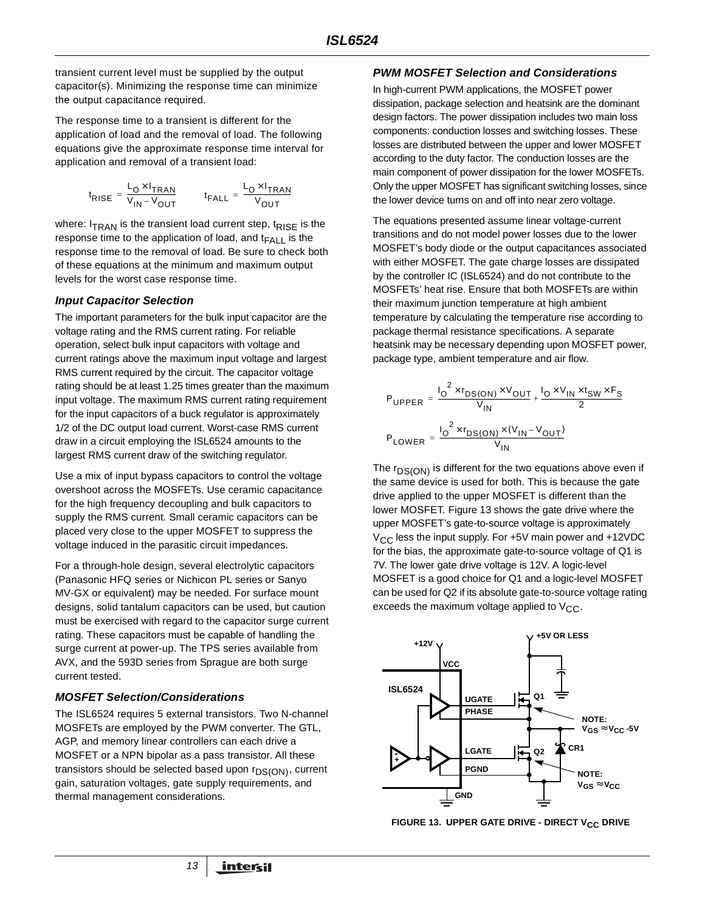transient current level must be supplied by the output capacitor(s). Minimizing the response time can minimize the output capacitance required.

The response time to a transient is different for the application of load and the removal of load. The following equations give the approximate response time interval for application and removal of a transient load:

$$
t_{\text{RISE}} = \frac{L_{\text{O}} \times I_{\text{TRAN}}}{V_{\text{IN}} - V_{\text{OUT}}}
$$
 
$$
t_{\text{FALL}} = \frac{L_{\text{O}} \times I_{\text{TRAN}}}{V_{\text{OUT}}}
$$

where:  $I_{TRAN}$  is the transient load current step,  $t_{RISE}$  is the response time to the application of load, and  $t_{\mathsf{FALL}}$  is the response time to the removal of load. Be sure to check both of these equations at the minimum and maximum output levels for the worst case response time.

### **Input Capacitor Selection**

The important parameters for the bulk input capacitor are the voltage rating and the RMS current rating. For reliable operation, select bulk input capacitors with voltage and current ratings above the maximum input voltage and largest RMS current required by the circuit. The capacitor voltage rating should be at least 1.25 times greater than the maximum input voltage. The maximum RMS current rating requirement for the input capacitors of a buck regulator is approximately 1/2 of the DC output load current. Worst-case RMS current draw in a circuit employing the ISL6524 amounts to the largest RMS current draw of the switching regulator.

Use a mix of input bypass capacitors to control the voltage overshoot across the MOSFETs. Use ceramic capacitance for the high frequency decoupling and bulk capacitors to supply the RMS current. Small ceramic capacitors can be placed very close to the upper MOSFET to suppress the voltage induced in the parasitic circuit impedances.

For a through-hole design, several electrolytic capacitors (Panasonic HFQ series or Nichicon PL series or Sanyo MV-GX or equivalent) may be needed. For surface mount designs, solid tantalum capacitors can be used, but caution must be exercised with regard to the capacitor surge current rating. These capacitors must be capable of handling the surge current at power-up. The TPS series available from AVX, and the 593D series from Sprague are both surge current tested.

### **MOSFET Selection/Considerations**

The ISL6524 requires 5 external transistors. Two N-channel MOSFETs are employed by the PWM converter. The GTL, AGP, and memory linear controllers can each drive a MOSFET or a NPN bipolar as a pass transistor. All these transistors should be selected based upon  $r_{DS(ON)}$ , current gain, saturation voltages, gate supply requirements, and thermal management considerations.

### **PWM MOSFET Selection and Considerations**

In high-current PWM applications, the MOSFET power dissipation, package selection and heatsink are the dominant design factors. The power dissipation includes two main loss components: conduction losses and switching losses. These losses are distributed between the upper and lower MOSFET according to the duty factor. The conduction losses are the main component of power dissipation for the lower MOSFETs. Only the upper MOSFET has significant switching losses, since the lower device turns on and off into near zero voltage.

The equations presented assume linear voltage-current transitions and do not model power losses due to the lower MOSFET's body diode or the output capacitances associated with either MOSFET. The gate charge losses are dissipated by the controller IC (ISL6524) and do not contribute to the MOSFETs' heat rise. Ensure that both MOSFETs are within their maximum junction temperature at high ambient temperature by calculating the temperature rise according to package thermal resistance specifications. A separate heatsink may be necessary depending upon MOSFET power, package type, ambient temperature and air flow.

$$
P_{\text{UPPER}} = \frac{I_0^2 \times r_{\text{DS}(\text{ON})} \times V_{\text{OUT}}}{V_{\text{IN}}} + \frac{I_0 \times V_{\text{IN}} \times t_{\text{SW}} \times F_{\text{S}}}{2}
$$
  

$$
P_{\text{LOWER}} = \frac{I_0^2 \times r_{\text{DS}(\text{ON})} \times (V_{\text{IN}} - V_{\text{OUT}})}{V_{\text{IN}}}
$$

The  $r_{DS(ON)}$  is different for the two equations above even if the same device is used for both. This is because the gate drive applied to the upper MOSFET is different than the lower MOSFET. Figure 13 shows the gate drive where the upper MOSFET's gate-to-source voltage is approximately  $V_{\text{CC}}$  less the input supply. For +5V main power and +12VDC for the bias, the approximate gate-to-source voltage of Q1 is 7V. The lower gate drive voltage is 12V. A logic-level MOSFET is a good choice for Q1 and a logic-level MOSFET can be used for Q2 if its absolute gate-to-source voltage rating exceeds the maximum voltage applied to  $V_{CC}$ .



**FIGURE 13. UPPER GATE DRIVE - DIRECT V<sub>CC</sub> DRIVE**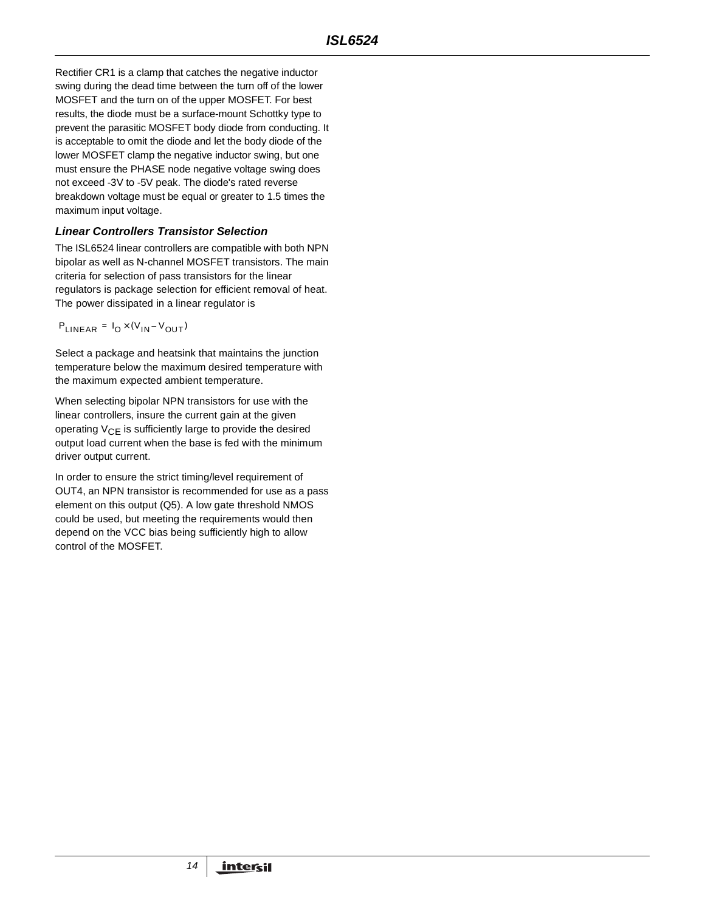Rectifier CR1 is a clamp that catches the negative inductor swing during the dead time between the turn off of the lower MOSFET and the turn on of the upper MOSFET. For best results, the diode must be a surface-mount Schottky type to prevent the parasitic MOSFET body diode from conducting. It is acceptable to omit the diode and let the body diode of the lower MOSFET clamp the negative inductor swing, but one must ensure the PHASE node negative voltage swing does not exceed -3V to -5V peak. The diode's rated reverse breakdown voltage must be equal or greater to 1.5 times the maximum input voltage.

### **Linear Controllers Transistor Selection**

The ISL6524 linear controllers are compatible with both NPN bipolar as well as N-channel MOSFET transistors. The main criteria for selection of pass transistors for the linear regulators is package selection for efficient removal of heat. The power dissipated in a linear regulator is

 $P_{LINEAR} = I_0 \times (V_{IN} - V_{OUT})$ 

Select a package and heatsink that maintains the junction temperature below the maximum desired temperature with the maximum expected ambient temperature.

When selecting bipolar NPN transistors for use with the linear controllers, insure the current gain at the given operating  $V_{CF}$  is sufficiently large to provide the desired output load current when the base is fed with the minimum driver output current.

In order to ensure the strict timing/level requirement of OUT4, an NPN transistor is recommended for use as a pass element on this output (Q5). A low gate threshold NMOS could be used, but meeting the requirements would then depend on the VCC bias being sufficiently high to allow control of the MOSFET.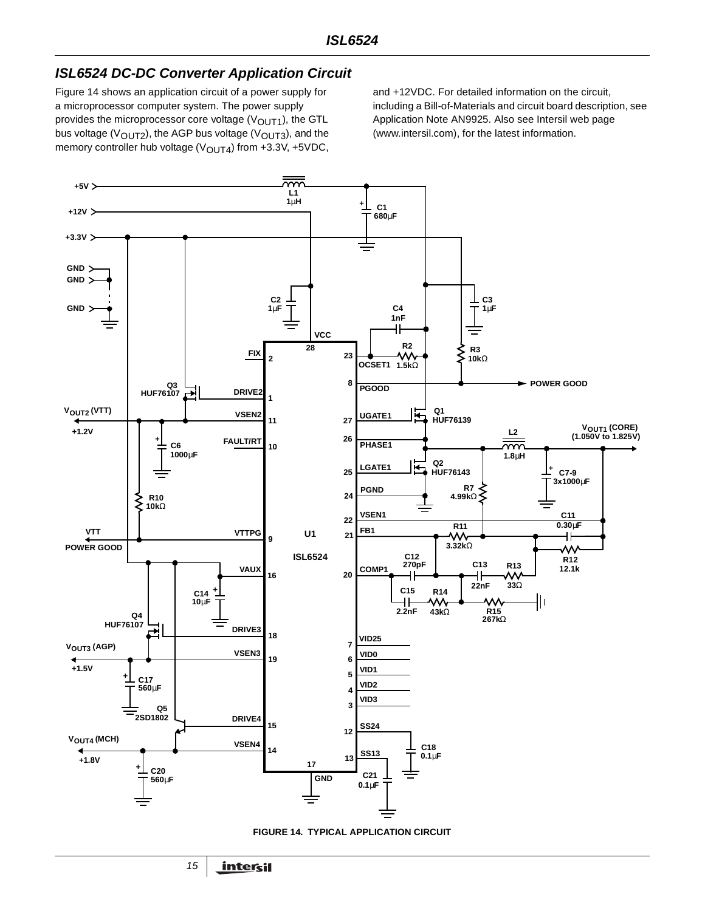# **ISL6524 DC-DC Converter Application Circuit**

Figure 14 shows an application circuit of a power supply for a microprocessor computer system. The power supply provides the microprocessor core voltage ( $V<sub>OUT1</sub>$ ), the GTL bus voltage ( $V_{\text{OUT2}}$ ), the AGP bus voltage ( $V_{\text{OUT3}}$ ), and the memory controller hub voltage ( $V_{\text{OUT4}}$ ) from +3.3V, +5VDC,

and +12VDC. For detailed information on the circuit, including a Bill-of-Materials and circuit board description, see Application Note AN9925. Also see Intersil web page (www.intersil.com), for the latest information.



**FIGURE 14. TYPICAL APPLICATION CIRCUIT**

15